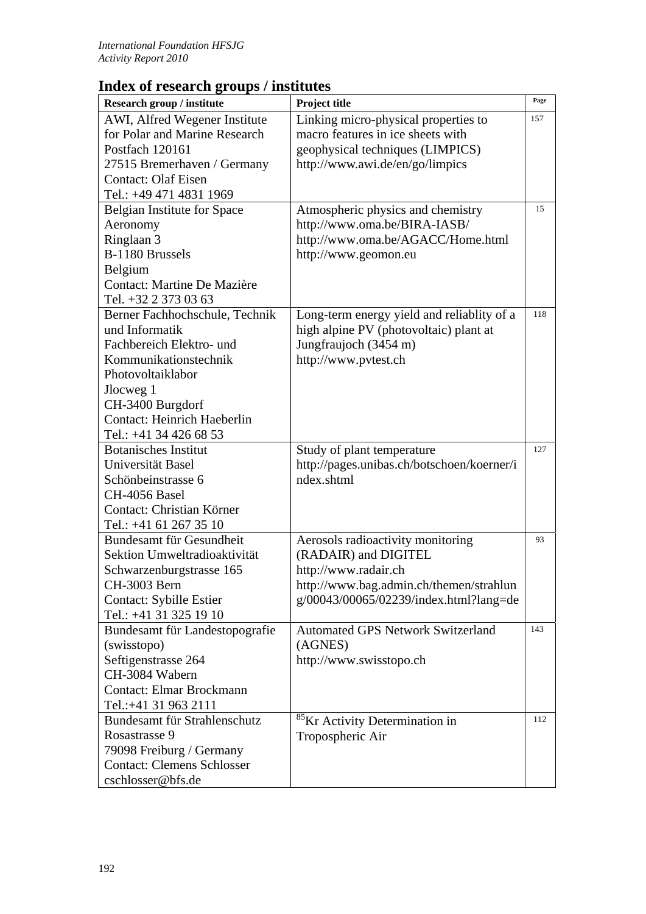## **Index of research groups / institutes**

| Research group / institute         | Project title                              | Page |
|------------------------------------|--------------------------------------------|------|
| AWI, Alfred Wegener Institute      | Linking micro-physical properties to       | 157  |
| for Polar and Marine Research      | macro features in ice sheets with          |      |
| Postfach 120161                    | geophysical techniques (LIMPICS)           |      |
| 27515 Bremerhaven / Germany        | http://www.awi.de/en/go/limpics            |      |
| <b>Contact: Olaf Eisen</b>         |                                            |      |
| Tel.: +49 471 4831 1969            |                                            |      |
|                                    |                                            | 15   |
| <b>Belgian Institute for Space</b> | Atmospheric physics and chemistry          |      |
| Aeronomy                           | http://www.oma.be/BIRA-IASB/               |      |
| Ringlaan 3                         | http://www.oma.be/AGACC/Home.html          |      |
| B-1180 Brussels                    | http://www.geomon.eu                       |      |
| Belgium                            |                                            |      |
| Contact: Martine De Mazière        |                                            |      |
| Tel. +32 2 373 03 63               |                                            |      |
| Berner Fachhochschule, Technik     | Long-term energy yield and reliablity of a | 118  |
| und Informatik                     | high alpine PV (photovoltaic) plant at     |      |
| Fachbereich Elektro- und           | Jungfraujoch (3454 m)                      |      |
| Kommunikationstechnik              | http://www.pvtest.ch                       |      |
| Photovoltaiklabor                  |                                            |      |
| Jlocweg 1                          |                                            |      |
| CH-3400 Burgdorf                   |                                            |      |
| <b>Contact: Heinrich Haeberlin</b> |                                            |      |
| Tel.: +41 34 426 68 53             |                                            |      |
| <b>Botanisches Institut</b>        | Study of plant temperature                 | 127  |
| Universität Basel                  | http://pages.unibas.ch/botschoen/koerner/i |      |
| Schönbeinstrasse 6                 | ndex.shtml                                 |      |
| CH-4056 Basel                      |                                            |      |
| Contact: Christian Körner          |                                            |      |
| Tel.: +41 61 267 35 10             |                                            |      |
| Bundesamt für Gesundheit           | Aerosols radioactivity monitoring          | 93   |
| Sektion Umweltradioaktivität       | (RADAIR) and DIGITEL                       |      |
| Schwarzenburgstrasse 165           | http://www.radair.ch                       |      |
| CH-3003 Bern                       | http://www.bag.admin.ch/themen/strahlun    |      |
| Contact: Sybille Estier            | g/00043/00065/02239/index.html?lang=de     |      |
| Tel.: +41 31 325 19 10             |                                            |      |
| Bundesamt für Landestopografie     | <b>Automated GPS Network Switzerland</b>   | 143  |
| (swisstopo)                        | (AGNES)                                    |      |
| Seftigenstrasse 264                | http://www.swisstopo.ch                    |      |
| CH-3084 Wabern                     |                                            |      |
| <b>Contact: Elmar Brockmann</b>    |                                            |      |
| Tel.:+41 31 963 2111               |                                            |      |
| Bundesamt für Strahlenschutz       | <sup>85</sup> Kr Activity Determination in | 112  |
| Rosastrasse 9                      | Tropospheric Air                           |      |
| 79098 Freiburg / Germany           |                                            |      |
| <b>Contact: Clemens Schlosser</b>  |                                            |      |
| cschlosser@bfs.de                  |                                            |      |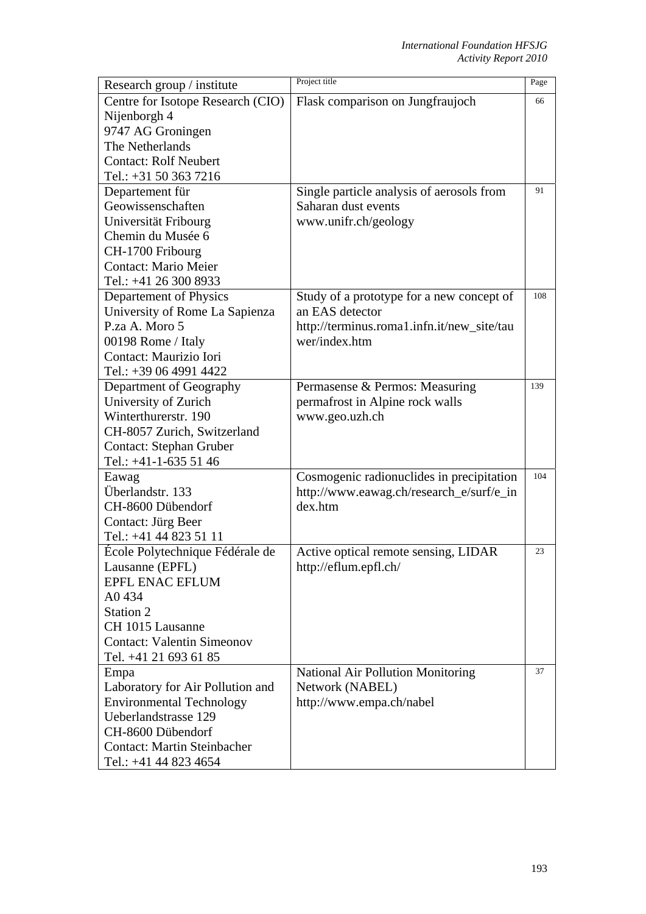| Research group / institute                | Project title                              | Page |
|-------------------------------------------|--------------------------------------------|------|
| Centre for Isotope Research (CIO)         | Flask comparison on Jungfraujoch           | 66   |
| Nijenborgh 4                              |                                            |      |
| 9747 AG Groningen                         |                                            |      |
| The Netherlands                           |                                            |      |
| <b>Contact: Rolf Neubert</b>              |                                            |      |
| Tel.: +31 50 363 7216                     |                                            |      |
| Departement für                           | Single particle analysis of aerosols from  | 91   |
| Geowissenschaften                         | Saharan dust events                        |      |
| Universität Fribourg                      | www.unifr.ch/geology                       |      |
| Chemin du Musée 6                         |                                            |      |
| CH-1700 Fribourg                          |                                            |      |
| <b>Contact: Mario Meier</b>               |                                            |      |
| Tel.: +41 26 300 8933                     |                                            |      |
| Departement of Physics                    | Study of a prototype for a new concept of  | 108  |
| University of Rome La Sapienza            | an EAS detector                            |      |
| P.za A. Moro 5                            | http://terminus.roma1.infn.it/new_site/tau |      |
| 00198 Rome / Italy                        | wer/index.htm                              |      |
| Contact: Maurizio Iori                    |                                            |      |
| Tel.: +39 06 4991 4422                    |                                            |      |
| Department of Geography                   | Permasense & Permos: Measuring             | 139  |
| University of Zurich                      | permafrost in Alpine rock walls            |      |
| Winterthurerstr. 190                      | www.geo.uzh.ch                             |      |
| CH-8057 Zurich, Switzerland               |                                            |      |
| Contact: Stephan Gruber                   |                                            |      |
| Tel.: +41-1-635 51 46                     |                                            |      |
| Eawag                                     | Cosmogenic radionuclides in precipitation  | 104  |
| Überlandstr. 133                          | http://www.eawag.ch/research_e/surf/e_in   |      |
| CH-8600 Dübendorf                         | dex.htm                                    |      |
| Contact: Jürg Beer                        |                                            |      |
| Tel.: +41 44 823 51 11                    |                                            | 23   |
| Ecole Polytechnique Fédérale de           | Active optical remote sensing, LIDAR       |      |
| Lausanne (EPFL)<br><b>EPFL ENAC EFLUM</b> | http://eflum.epfl.ch/                      |      |
| A0434                                     |                                            |      |
| Station 2                                 |                                            |      |
| CH 1015 Lausanne                          |                                            |      |
| <b>Contact: Valentin Simeonov</b>         |                                            |      |
| Tel. +41 21 693 61 85                     |                                            |      |
| Empa                                      | <b>National Air Pollution Monitoring</b>   | 37   |
| Laboratory for Air Pollution and          | Network (NABEL)                            |      |
| <b>Environmental Technology</b>           | http://www.empa.ch/nabel                   |      |
| Ueberlandstrasse 129                      |                                            |      |
| CH-8600 Dübendorf                         |                                            |      |
| <b>Contact: Martin Steinbacher</b>        |                                            |      |
| Tel.: +41 44 823 4654                     |                                            |      |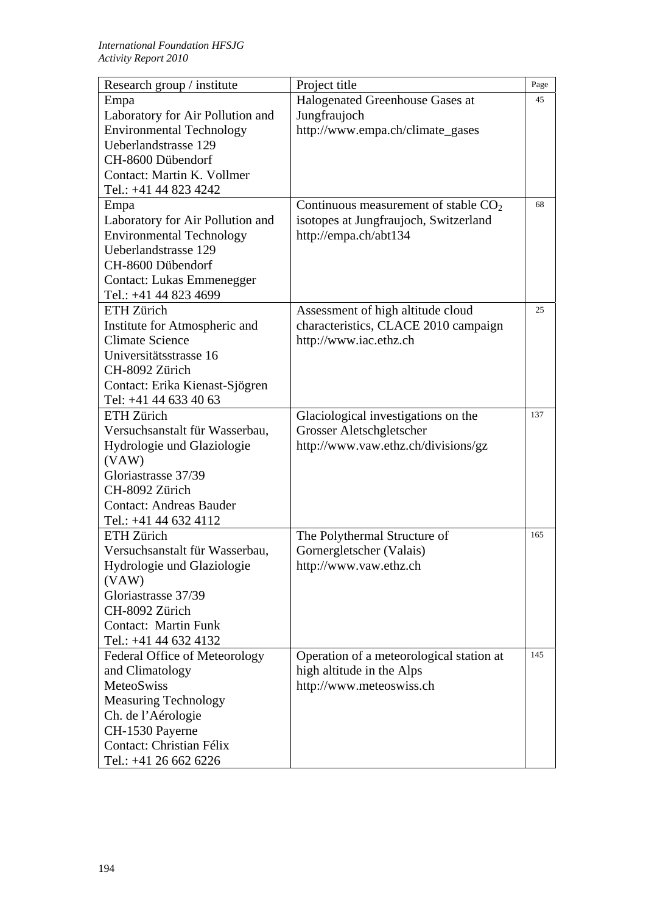| Research group / institute                  | Project title                            | Page |
|---------------------------------------------|------------------------------------------|------|
| Empa                                        | Halogenated Greenhouse Gases at          | 45   |
| Laboratory for Air Pollution and            | Jungfraujoch                             |      |
| <b>Environmental Technology</b>             | http://www.empa.ch/climate_gases         |      |
| Ueberlandstrasse 129                        |                                          |      |
| CH-8600 Dübendorf                           |                                          |      |
| Contact: Martin K. Vollmer                  |                                          |      |
| Tel.: +41 44 823 4242                       |                                          |      |
| Empa                                        | Continuous measurement of stable $CO2$   | 68   |
| Laboratory for Air Pollution and            | isotopes at Jungfraujoch, Switzerland    |      |
| <b>Environmental Technology</b>             | http://empa.ch/abt134                    |      |
| Ueberlandstrasse 129                        |                                          |      |
| CH-8600 Dübendorf                           |                                          |      |
| <b>Contact: Lukas Emmenegger</b>            |                                          |      |
| Tel.: +41 44 823 4699                       |                                          |      |
| ETH Zürich                                  | Assessment of high altitude cloud        | 25   |
| Institute for Atmospheric and               | characteristics, CLACE 2010 campaign     |      |
| <b>Climate Science</b>                      | http://www.iac.ethz.ch                   |      |
| Universitätsstrasse 16                      |                                          |      |
| CH-8092 Zürich                              |                                          |      |
| Contact: Erika Kienast-Sjögren              |                                          |      |
| Tel: +41 44 633 40 63                       |                                          |      |
| ETH Zürich                                  | Glaciological investigations on the      | 137  |
| Versuchsanstalt für Wasserbau,              | Grosser Aletschgletscher                 |      |
| Hydrologie und Glaziologie                  | http://www.vaw.ethz.ch/divisions/gz      |      |
| (VAW)                                       |                                          |      |
| Gloriastrasse 37/39                         |                                          |      |
| CH-8092 Zürich                              |                                          |      |
| <b>Contact: Andreas Bauder</b>              |                                          |      |
| Tel.: +41 44 632 4112                       |                                          |      |
| <b>ETH Zürich</b>                           | The Polythermal Structure of             | 165  |
| Versuchsanstalt für Wasserbau,              | Gornergletscher (Valais)                 |      |
| Hydrologie und Glaziologie                  | http://www.vaw.ethz.ch                   |      |
| (VAW)                                       |                                          |      |
| Gloriastrasse 37/39                         |                                          |      |
| CH-8092 Zürich                              |                                          |      |
| <b>Contact: Martin Funk</b>                 |                                          |      |
| Tel.: +41 44 632 4132                       |                                          | 145  |
| Federal Office of Meteorology               | Operation of a meteorological station at |      |
| and Climatology                             | high altitude in the Alps                |      |
| MeteoSwiss                                  | http://www.meteoswiss.ch                 |      |
| <b>Measuring Technology</b>                 |                                          |      |
| Ch. de l'Aérologie                          |                                          |      |
| CH-1530 Payerne<br>Contact: Christian Félix |                                          |      |
|                                             |                                          |      |
| Tel.: +41 26 662 6226                       |                                          |      |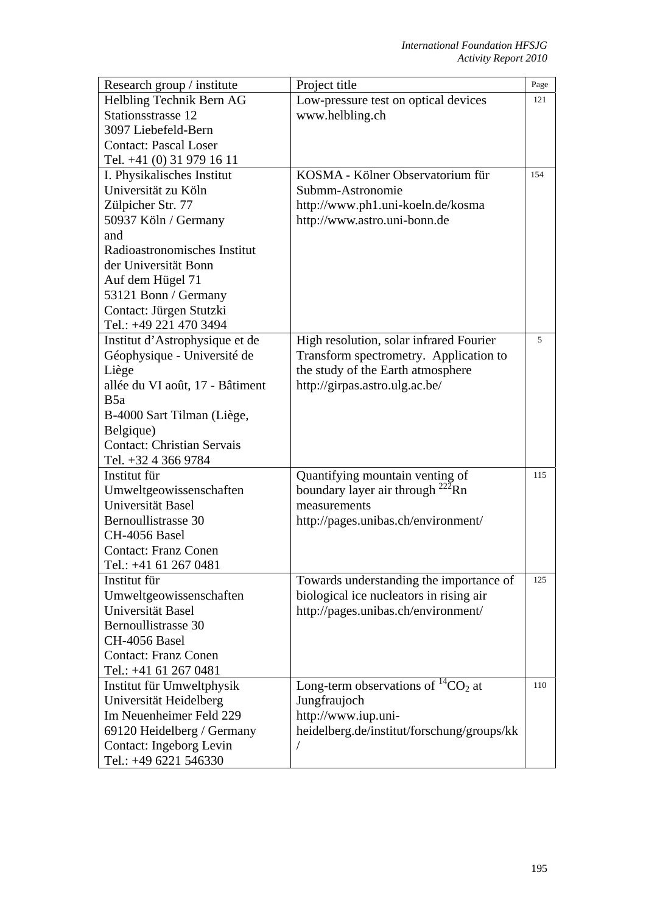| Research group / institute        | Project title                                | Page |
|-----------------------------------|----------------------------------------------|------|
| Helbling Technik Bern AG          | Low-pressure test on optical devices         | 121  |
| Stationsstrasse 12                | www.helbling.ch                              |      |
| 3097 Liebefeld-Bern               |                                              |      |
| <b>Contact: Pascal Loser</b>      |                                              |      |
| Tel. +41 (0) 31 979 16 11         |                                              |      |
| I. Physikalisches Institut        | KOSMA - Kölner Observatorium für             | 154  |
| Universität zu Köln               | Submm-Astronomie                             |      |
| Zülpicher Str. 77                 | http://www.ph1.uni-koeln.de/kosma            |      |
| 50937 Köln / Germany              | http://www.astro.uni-bonn.de                 |      |
| and                               |                                              |      |
| Radioastronomisches Institut      |                                              |      |
| der Universität Bonn              |                                              |      |
| Auf dem Hügel 71                  |                                              |      |
| 53121 Bonn / Germany              |                                              |      |
| Contact: Jürgen Stutzki           |                                              |      |
| Tel.: +49 221 470 3494            |                                              |      |
| Institut d'Astrophysique et de    | High resolution, solar infrared Fourier      | 5    |
| Géophysique - Université de       | Transform spectrometry. Application to       |      |
| Liège                             | the study of the Earth atmosphere            |      |
| allée du VI août, 17 - Bâtiment   | http://girpas.astro.ulg.ac.be/               |      |
| B <sub>5a</sub>                   |                                              |      |
| B-4000 Sart Tilman (Liège,        |                                              |      |
| Belgique)                         |                                              |      |
| <b>Contact: Christian Servais</b> |                                              |      |
| Tel. +32 4 366 9784               |                                              |      |
| Institut für                      | Quantifying mountain venting of              | 115  |
| Umweltgeowissenschaften           | boundary layer air through <sup>222</sup> Rn |      |
| Universität Basel                 | measurements                                 |      |
| Bernoullistrasse 30               | http://pages.unibas.ch/environment/          |      |
| CH-4056 Basel                     |                                              |      |
| <b>Contact: Franz Conen</b>       |                                              |      |
| Tel.: +41 61 267 0481             |                                              |      |
| Institut für                      | Towards understanding the importance of      | 125  |
| Umweltgeowissenschaften           | biological ice nucleators in rising air      |      |
| Universität Basel                 | http://pages.unibas.ch/environment/          |      |
| Bernoullistrasse 30               |                                              |      |
| CH-4056 Basel                     |                                              |      |
| <b>Contact: Franz Conen</b>       |                                              |      |
| Tel.: +41 61 267 0481             |                                              |      |
| Institut für Umweltphysik         | Long-term observations of ${}^{14}CO_2$ at   | 110  |
| Universität Heidelberg            | Jungfraujoch                                 |      |
| Im Neuenheimer Feld 229           | http://www.iup.uni-                          |      |
| 69120 Heidelberg / Germany        | heidelberg.de/institut/forschung/groups/kk   |      |
| Contact: Ingeborg Levin           | Т                                            |      |
| Tel.: +49 6221 546330             |                                              |      |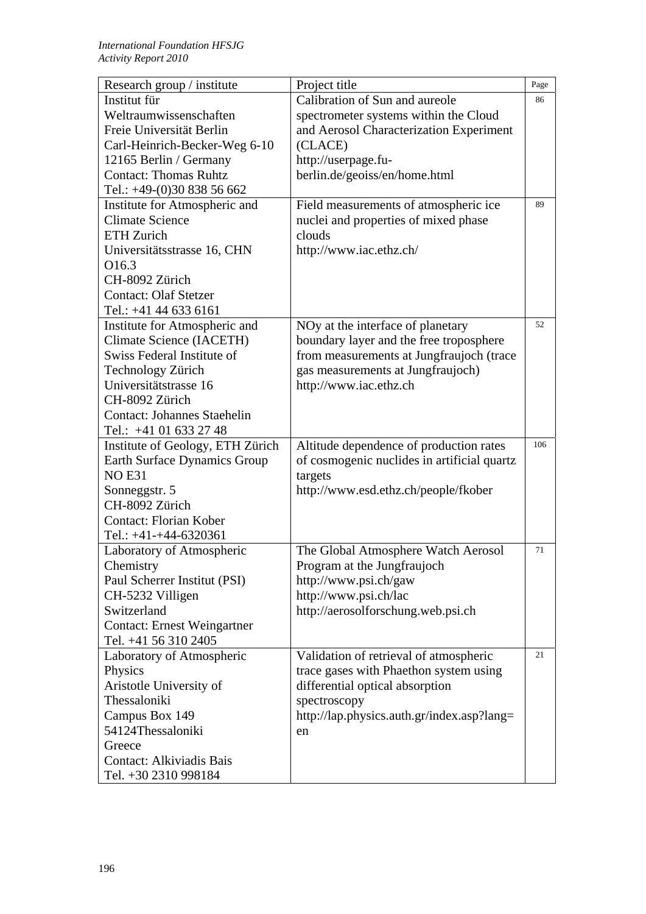| Research group / institute         | Project title                               | Page |
|------------------------------------|---------------------------------------------|------|
| Institut für                       | Calibration of Sun and aureole              | 86   |
| Weltraumwissenschaften             | spectrometer systems within the Cloud       |      |
| Freie Universität Berlin           | and Aerosol Characterization Experiment     |      |
| Carl-Heinrich-Becker-Weg 6-10      | (CLACE)                                     |      |
| 12165 Berlin / Germany             | http://userpage.fu-                         |      |
| <b>Contact: Thomas Ruhtz</b>       | berlin.de/geoiss/en/home.html               |      |
| Tel.: +49-(0)30 838 56 662         |                                             |      |
| Institute for Atmospheric and      | Field measurements of atmospheric ice       | 89   |
| <b>Climate Science</b>             | nuclei and properties of mixed phase        |      |
| <b>ETH Zurich</b>                  | clouds                                      |      |
| Universitätsstrasse 16, CHN        | http://www.iac.ethz.ch/                     |      |
| O <sub>16.3</sub>                  |                                             |      |
| CH-8092 Zürich                     |                                             |      |
| <b>Contact: Olaf Stetzer</b>       |                                             |      |
| Tel.: +41 44 633 6161              |                                             |      |
| Institute for Atmospheric and      | NOy at the interface of planetary           | 52   |
| <b>Climate Science (IACETH)</b>    | boundary layer and the free troposphere     |      |
| Swiss Federal Institute of         | from measurements at Jungfraujoch (trace    |      |
| Technology Zürich                  | gas measurements at Jungfraujoch)           |      |
| Universitätstrasse 16              | http://www.iac.ethz.ch                      |      |
| CH-8092 Zürich                     |                                             |      |
| <b>Contact: Johannes Staehelin</b> |                                             |      |
| Tel.: +41 01 633 27 48             |                                             |      |
| Institute of Geology, ETH Zürich   | Altitude dependence of production rates     | 106  |
| Earth Surface Dynamics Group       | of cosmogenic nuclides in artificial quartz |      |
| <b>NO E31</b>                      | targets                                     |      |
| Sonneggstr. 5                      | http://www.esd.ethz.ch/people/fkober        |      |
| CH-8092 Zürich                     |                                             |      |
| <b>Contact: Florian Kober</b>      |                                             |      |
| Tel.: $+41-+44-6320361$            |                                             |      |
| Laboratory of Atmospheric          | The Global Atmosphere Watch Aerosol         | 71   |
| Chemistry                          | Program at the Jungfraujoch                 |      |
| Paul Scherrer Institut (PSI)       | http://www.psi.ch/gaw                       |      |
| CH-5232 Villigen                   | http://www.psi.ch/lac                       |      |
| Switzerland                        | http://aerosolforschung.web.psi.ch          |      |
| <b>Contact: Ernest Weingartner</b> |                                             |      |
| Tel. +41 56 310 2405               |                                             |      |
| Laboratory of Atmospheric          | Validation of retrieval of atmospheric      | 21   |
| Physics                            | trace gases with Phaethon system using      |      |
| Aristotle University of            | differential optical absorption             |      |
| Thessaloniki                       | spectroscopy                                |      |
| Campus Box 149                     | http://lap.physics.auth.gr/index.asp?lang=  |      |
| 54124Thessaloniki                  | en                                          |      |
| Greece                             |                                             |      |
| <b>Contact: Alkiviadis Bais</b>    |                                             |      |
| Tel. +30 2310 998184               |                                             |      |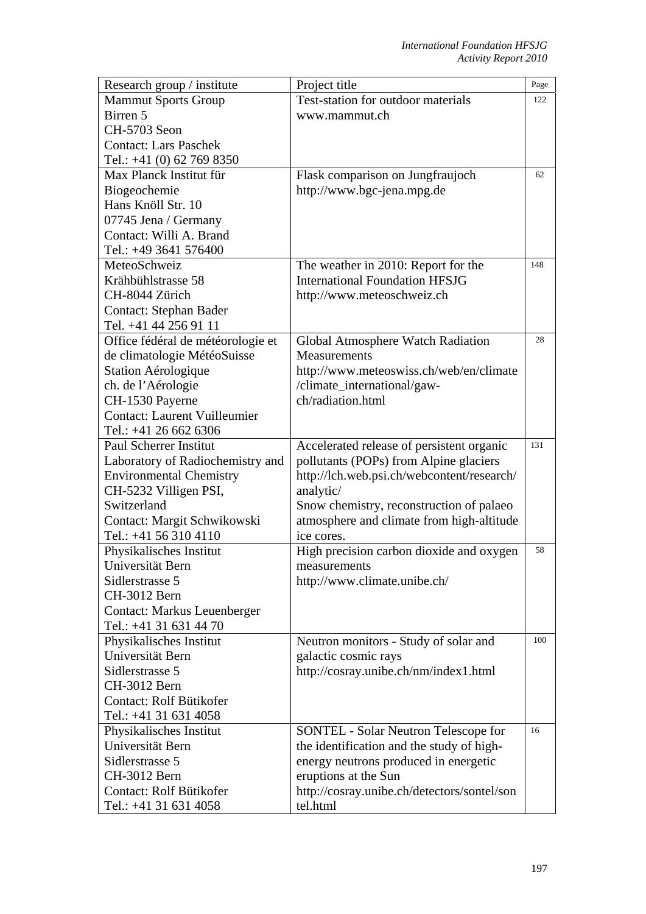| Research group / institute          | Project title                               | Page |
|-------------------------------------|---------------------------------------------|------|
| <b>Mammut Sports Group</b>          | Test-station for outdoor materials          | 122  |
| Birren 5                            | www.mammut.ch                               |      |
| CH-5703 Seon                        |                                             |      |
| <b>Contact: Lars Paschek</b>        |                                             |      |
| Tel.: $+41$ (0) 62 769 8350         |                                             |      |
| Max Planck Institut für             | Flask comparison on Jungfraujoch            | 62   |
| Biogeochemie                        | http://www.bgc-jena.mpg.de                  |      |
| Hans Knöll Str. 10                  |                                             |      |
| 07745 Jena / Germany                |                                             |      |
| Contact: Willi A. Brand             |                                             |      |
| Tel.: +49 3641 576400               |                                             |      |
| MeteoSchweiz                        | The weather in 2010: Report for the         | 148  |
| Krähbühlstrasse 58                  | <b>International Foundation HFSJG</b>       |      |
| CH-8044 Zürich                      | http://www.meteoschweiz.ch                  |      |
| <b>Contact: Stephan Bader</b>       |                                             |      |
| Tel. +41 44 256 91 11               |                                             |      |
| Office fédéral de météorologie et   | Global Atmosphere Watch Radiation           | 28   |
| de climatologie MétéoSuisse         | Measurements                                |      |
| Station Aérologique                 | http://www.meteoswiss.ch/web/en/climate     |      |
| ch. de l'Aérologie                  | /climate_international/gaw-                 |      |
| CH-1530 Payerne                     | ch/radiation.html                           |      |
| <b>Contact: Laurent Vuilleumier</b> |                                             |      |
| Tel.: +41 26 662 6306               |                                             |      |
| <b>Paul Scherrer Institut</b>       | Accelerated release of persistent organic   | 131  |
| Laboratory of Radiochemistry and    | pollutants (POPs) from Alpine glaciers      |      |
| <b>Environmental Chemistry</b>      | http://lch.web.psi.ch/webcontent/research/  |      |
| CH-5232 Villigen PSI,               | analytic/                                   |      |
| Switzerland                         | Snow chemistry, reconstruction of palaeo    |      |
| Contact: Margit Schwikowski         | atmosphere and climate from high-altitude   |      |
| Tel.: +41 56 310 4110               | ice cores.                                  |      |
| Physikalisches Institut             | High precision carbon dioxide and oxygen    | 58   |
| Universität Bern                    | measurements                                |      |
| Sidlerstrasse 5                     | http://www.climate.unibe.ch/                |      |
| CH-3012 Bern                        |                                             |      |
| <b>Contact: Markus Leuenberger</b>  |                                             |      |
| Tel.: +41 31 631 44 70              |                                             |      |
| Physikalisches Institut             | Neutron monitors - Study of solar and       | 100  |
| Universität Bern                    | galactic cosmic rays                        |      |
| Sidlerstrasse 5                     | http://cosray.unibe.ch/nm/index1.html       |      |
| CH-3012 Bern                        |                                             |      |
| Contact: Rolf Bütikofer             |                                             |      |
| Tel.: +41 31 631 4058               |                                             |      |
| Physikalisches Institut             | <b>SONTEL - Solar Neutron Telescope for</b> | 16   |
| Universität Bern                    | the identification and the study of high-   |      |
| Sidlerstrasse 5                     | energy neutrons produced in energetic       |      |
| CH-3012 Bern                        | eruptions at the Sun                        |      |
| Contact: Rolf Bütikofer             | http://cosray.unibe.ch/detectors/sontel/son |      |
| Tel.: +41 31 631 4058               | tel.html                                    |      |